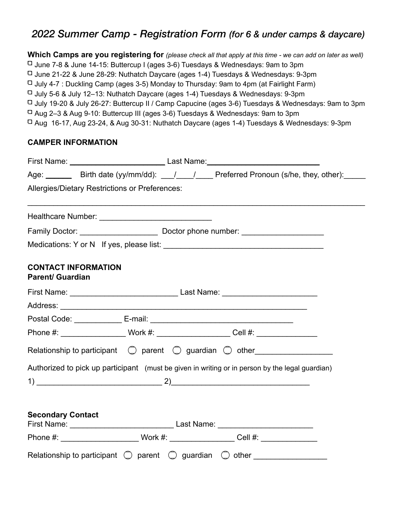### *2022 Summer Camp - Registration Form (for 6 & under camps & daycare)*

**Which Camps are you registering for** *(please check all that apply at this time - we can add on later as well)* June 7-8 & June 14-15: Buttercup I (ages 3-6) Tuesdays & Wednesdays: 9am to 3pm June 21-22 & June 28-29: Nuthatch Daycare (ages 1-4) Tuesdays & Wednesdays: 9-3pm  $\Box$  July 4-7 : Duckling Camp (ages 3-5) Monday to Thursday: 9am to 4pm (at Fairlight Farm)  $\Box$  July 5-6 & July 12–13: Nuthatch Daycare (ages 1-4) Tuesdays & Wednesdays: 9-3pm July 19-20 & July 26-27: Buttercup II / Camp Capucine (ages 3-6) Tuesdays & Wednesdays: 9am to 3pm Aug 2–3 & Aug 9-10: Buttercup III (ages 3-6) Tuesdays & Wednesdays: 9am to 3pm Aug 16-17, Aug 23-24, & Aug 30-31: Nuthatch Daycare (ages 1-4) Tuesdays & Wednesdays: 9-3pm

#### **CAMPER INFORMATION**

|                          | Age: ________ Birth date (yy/mm/dd): ____/ _____/ Preferred Pronoun (s/he, they, other): _____       |
|--------------------------|------------------------------------------------------------------------------------------------------|
|                          | Allergies/Dietary Restrictions or Preferences:                                                       |
|                          |                                                                                                      |
|                          |                                                                                                      |
|                          |                                                                                                      |
| <b>Parent/ Guardian</b>  | <b>CONTACT INFORMATION</b>                                                                           |
|                          |                                                                                                      |
|                          |                                                                                                      |
|                          |                                                                                                      |
|                          | Phone #: ______________________Work #: _______________________Cell #: ______________________________ |
|                          | Relationship to participant $\bigcirc$ parent $\bigcirc$ guardian $\bigcirc$ other                   |
|                          | Authorized to pick up participant (must be given in writing or in person by the legal guardian)      |
|                          |                                                                                                      |
|                          |                                                                                                      |
| <b>Secondary Contact</b> | First Name: Last Name: Last Name:                                                                    |
|                          | Phone #: _____________________________Work #: _____________________Cell #: _________________________ |
|                          | Relationship to participant $\bigcirc$ parent $\bigcirc$ guardian $\bigcirc$ other                   |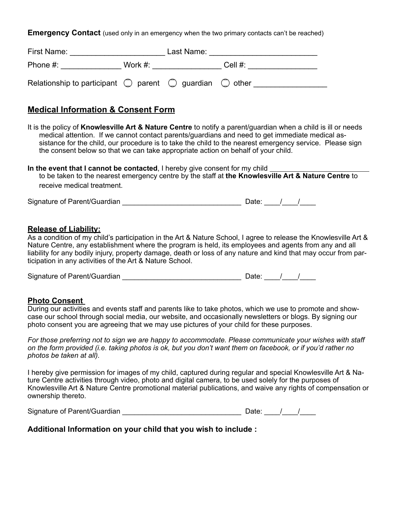**Emergency Contact** (used only in an emergency when the two primary contacts can't be reached)

| First Name:                                                                        | Last Name: |  |            |  |
|------------------------------------------------------------------------------------|------------|--|------------|--|
| Phone $#$ :                                                                        | Work $#$ : |  | Cell $#$ : |  |
| Relationship to participant $\bigcirc$ parent $\bigcirc$ guardian $\bigcirc$ other |            |  |            |  |

#### **Medical Information & Consent Form**

It is the policy of **Knowlesville Art & Nature Centre** to notify a parent/guardian when a child is ill or needs medical attention. If we cannot contact parents/guardians and need to get immediate medical assistance for the child, our procedure is to take the child to the nearest emergency service. Please sign the consent below so that we can take appropriate action on behalf of your child.

**In the event that I cannot be contacted**, I hereby give consent for my child to be taken to the nearest emergency centre by the staff at **the Knowlesville Art & Nature Centre** to receive medical treatment.

Signature of Parent/Guardian \_\_\_\_\_\_\_\_\_\_\_\_\_\_\_\_\_\_\_\_\_\_\_\_\_\_\_\_\_\_ Date: \_\_\_\_/\_\_\_\_/\_\_\_\_

#### **Release of Liability:**

As a condition of my child's participation in the Art & Nature School, I agree to release the Knowlesville Art & Nature Centre, any establishment where the program is held, its employees and agents from any and all liability for any bodily injury, property damage, death or loss of any nature and kind that may occur from participation in any activities of the Art & Nature School.

Signature of Parent/Guardian \_\_\_\_\_\_\_\_\_\_\_\_\_\_\_\_\_\_\_\_\_\_\_\_\_\_\_\_\_\_ Date: \_\_\_\_/\_\_\_\_/\_\_\_\_

#### **Photo Consent**

During our activities and events staff and parents like to take photos, which we use to promote and showcase our school through social media, our website, and occasionally newsletters or blogs. By signing our photo consent you are agreeing that we may use pictures of your child for these purposes.

*For those preferring not to sign we are happy to accommodate. Please communicate your wishes with staff on the form provided (i.e. taking photos is ok, but you don't want them on facebook, or if you'd rather no photos be taken at all).* 

I hereby give permission for images of my child, captured during regular and special Knowlesville Art & Nature Centre activities through video, photo and digital camera, to be used solely for the purposes of Knowlesville Art & Nature Centre promotional material publications, and waive any rights of compensation or ownership thereto.

Signature of Parent/Guardian  $\Box$ 

**Additional Information on your child that you wish to include :**